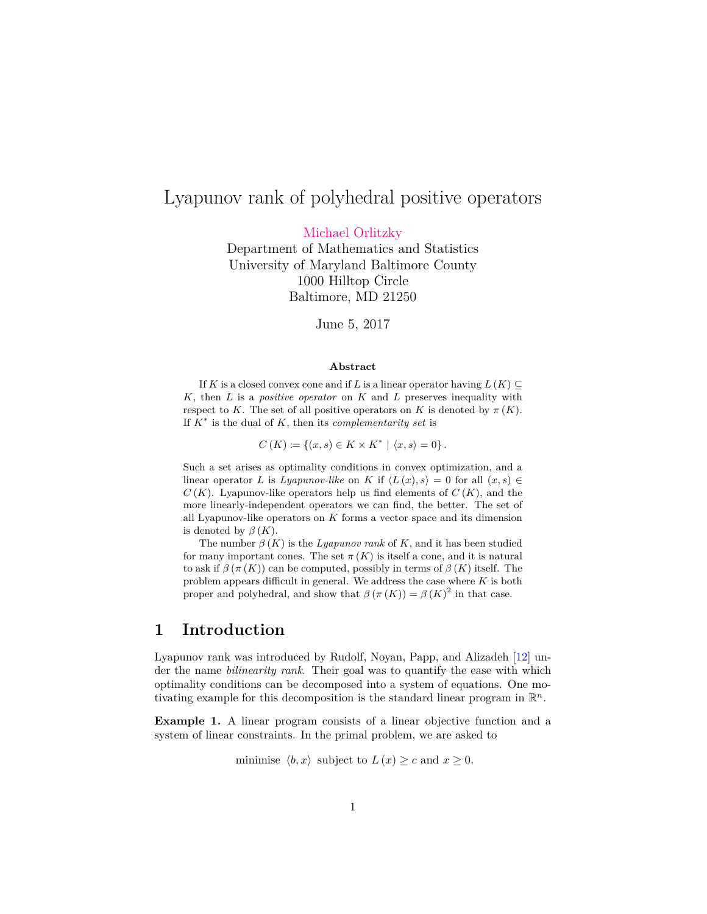# Lyapunov rank of polyhedral positive operators

[Michael Orlitzky](mailto:michael@orlitzky.com)

Department of Mathematics and Statistics University of Maryland Baltimore County 1000 Hilltop Circle Baltimore, MD 21250

June 5, 2017

#### **Abstract**

If *K* is a closed convex cone and if *L* is a linear operator having  $L(K) \subset$ *K*, then *L* is a *positive operator* on *K* and *L* preserves inequality with respect to *K*. The set of all positive operators on *K* is denoted by  $\pi(K)$ . If *K*<sup>∗</sup> is the dual of *K*, then its *complementarity set* is

 $C(K) \coloneqq \{(x, s) \in K \times K^* \mid \langle x, s \rangle = 0\}.$ 

Such a set arises as optimality conditions in convex optimization, and a linear operator *L* is *Lyapunov-like* on *K* if  $\langle L(x), s \rangle = 0$  for all  $(x, s) \in$  $C(K)$ . Lyapunov-like operators help us find elements of  $C(K)$ , and the more linearly-independent operators we can find, the better. The set of all Lyapunov-like operators on *K* forms a vector space and its dimension is denoted by  $\beta(K)$ .

The number  $\beta(K)$  is the *Lyapunov rank* of *K*, and it has been studied for many important cones. The set  $\pi(K)$  is itself a cone, and it is natural to ask if  $\beta(\pi(K))$  can be computed, possibly in terms of  $\beta(K)$  itself. The problem appears difficult in general. We address the case where *K* is both proper and polyhedral, and show that  $\beta(\pi(K)) = \beta(K)^2$  in that case.

## **1 Introduction**

Lyapunov rank was introduced by Rudolf, Noyan, Papp, and Alizadeh [\[12\]](#page-9-0) under the name *bilinearity rank*. Their goal was to quantify the ease with which optimality conditions can be decomposed into a system of equations. One motivating example for this decomposition is the standard linear program in  $\mathbb{R}^n$ .

<span id="page-0-0"></span>**Example 1.** A linear program consists of a linear objective function and a system of linear constraints. In the primal problem, we are asked to

minimise  $\langle b, x \rangle$  subject to  $L(x) \geq c$  and  $x \geq 0$ .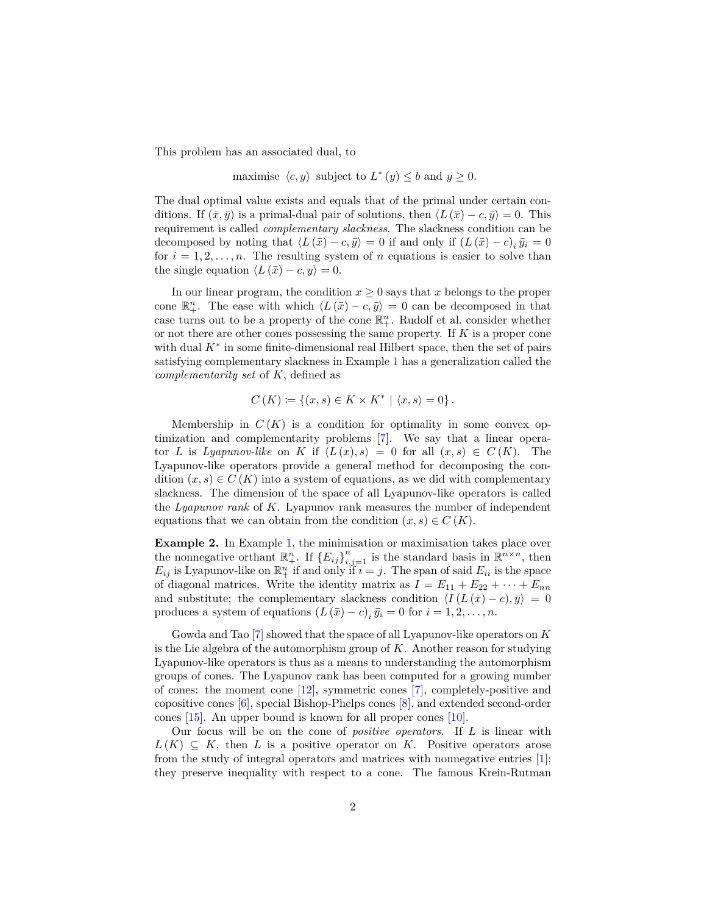This problem has an associated dual, to

maximise  $\langle c, y \rangle$  subject to  $L^*(y) \leq b$  and  $y \geq 0$ .

The dual optimal value exists and equals that of the primal under certain conditions. If  $(\bar{x}, \bar{y})$  is a primal-dual pair of solutions, then  $\langle L(\bar{x}) - c, \bar{y} \rangle = 0$ . This requirement is called *complementary slackness*. The slackness condition can be decomposed by noting that  $\langle L(\bar{x}) - c, \bar{y} \rangle = 0$  if and only if  $(L(\bar{x}) - c)$ <sub>i</sub>  $\bar{y}_i = 0$ for  $i = 1, 2, \ldots, n$ . The resulting system of *n* equations is easier to solve than the single equation  $\langle L(\bar{x}) - c, y \rangle = 0$ .

In our linear program, the condition  $x \geq 0$  says that *x* belongs to the proper cone  $\mathbb{R}^n_+$ . The ease with which  $\langle L(\bar{x}) - c, \bar{y} \rangle = 0$  can be decomposed in that case turns out to be a property of the cone  $\mathbb{R}^n_+$ . Rudolf et al. consider whether or not there are other cones possessing the same property. If *K* is a proper cone with dual  $K^*$  in some finite-dimensional real Hilbert space, then the set of pairs satisfying complementary slackness in Example [1](#page-0-0) has a generalization called the *complementarity set* of *K*, defined as

$$
C(K) := \{(x, s) \in K \times K^* \mid \langle x, s \rangle = 0\}.
$$

Membership in  $C(K)$  is a condition for optimality in some convex optimization and complementarity problems [\[7\]](#page-9-1). We say that a linear operator *L* is *Lyapunov-like* on *K* if  $\langle L(x), s \rangle = 0$  for all  $(x, s) \in C(K)$ . The Lyapunov-like operators provide a general method for decomposing the condition  $(x, s) \in C(K)$  into a system of equations, as we did with complementary slackness. The dimension of the space of all Lyapunov-like operators is called the *Lyapunov rank* of *K*. Lyapunov rank measures the number of independent equations that we can obtain from the condition  $(x, s) \in C(K)$ .

<span id="page-1-0"></span>**Example 2.** In Example [1,](#page-0-0) the minimisation or maximisation takes place over the nonnegative orthant  $\mathbb{R}^n_+$ . If  $\{E_{ij}\}_{i,j=1}^n$  is the standard basis in  $\mathbb{R}^{n \times n}$ , then  $E_{ij}$  is Lyapunov-like on  $\mathbb{R}^n_+$  if and only if  $i = j$ . The span of said  $E_{ii}$  is the space of diagonal matrices. Write the identity matrix as  $I = E_{11} + E_{22} + \cdots + E_{nn}$ and substitute; the complementary slackness condition  $\langle I(L(\bar{x}) - c), \bar{y} \rangle = 0$ produces a system of equations  $(L(\bar{x}) - c)$ <sub>*i*</sub> $\bar{y}_i = 0$  for  $i = 1, 2, ..., n$ .

Gowda and Tao [\[7\]](#page-9-1) showed that the space of all Lyapunov-like operators on *K* is the Lie algebra of the automorphism group of *K*. Another reason for studying Lyapunov-like operators is thus as a means to understanding the automorphism groups of cones. The Lyapunov rank has been computed for a growing number of cones: the moment cone [\[12\]](#page-9-0), symmetric cones [\[7\]](#page-9-1), completely-positive and copositive cones [\[6\]](#page-8-0), special Bishop-Phelps cones [\[8\]](#page-9-2), and extended second-order cones [\[15\]](#page-9-3). An upper bound is known for all proper cones [\[10\]](#page-9-4).

Our focus will be on the cone of *positive operators*. If *L* is linear with  $L(K) \subseteq K$ , then *L* is a positive operator on *K*. Positive operators arose from the study of integral operators and matrices with nonnegative entries [\[1\]](#page-8-1); they preserve inequality with respect to a cone. The famous Krein-Rutman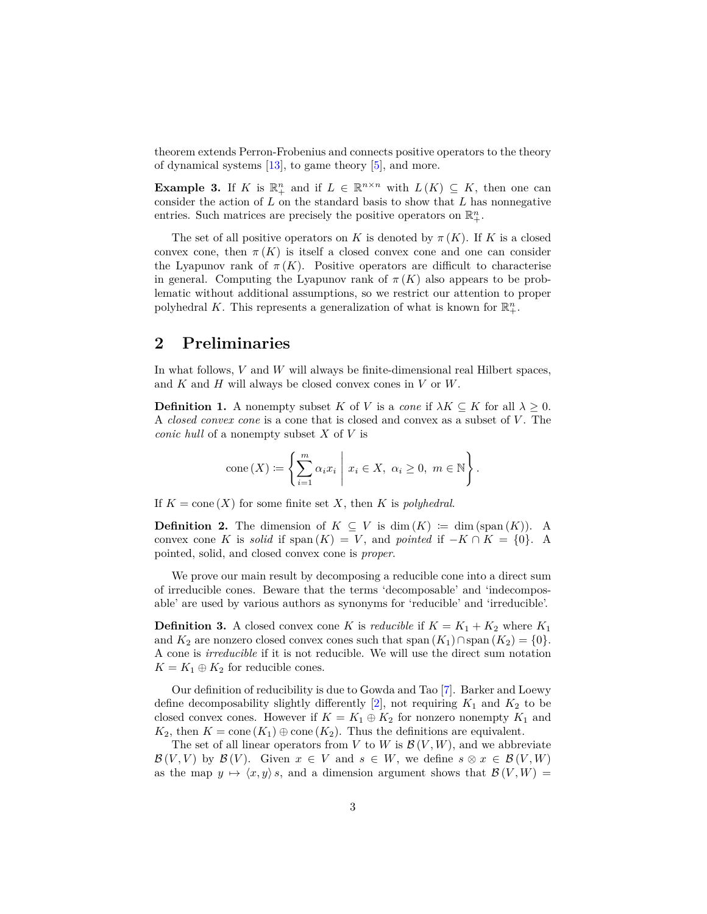theorem extends Perron-Frobenius and connects positive operators to the theory of dynamical systems [\[13\]](#page-9-5), to game theory [\[5\]](#page-8-2), and more.

<span id="page-2-0"></span>**Example 3.** If *K* is  $\mathbb{R}^n_+$  and if  $L \in \mathbb{R}^{n \times n}$  with  $L(K) \subseteq K$ , then one can consider the action of *L* on the standard basis to show that *L* has nonnegative entries. Such matrices are precisely the positive operators on  $\mathbb{R}^n_+$ .

The set of all positive operators on *K* is denoted by  $\pi(K)$ . If *K* is a closed convex cone, then  $\pi(K)$  is itself a closed convex cone and one can consider the Lyapunov rank of  $\pi(K)$ . Positive operators are difficult to characterise in general. Computing the Lyapunov rank of  $\pi(K)$  also appears to be problematic without additional assumptions, so we restrict our attention to proper polyhedral K. This represents a generalization of what is known for  $\mathbb{R}^n_+$ .

# **2 Preliminaries**

In what follows, *V* and *W* will always be finite-dimensional real Hilbert spaces, and *K* and *H* will always be closed convex cones in *V* or *W*.

**Definition 1.** A nonempty subset *K* of *V* is a *cone* if  $\lambda K \subseteq K$  for all  $\lambda \geq 0$ . A *closed convex cone* is a cone that is closed and convex as a subset of *V* . The *conic hull* of a nonempty subset *X* of *V* is

cone 
$$
(X) \coloneqq \left\{ \sum_{i=1}^{m} \alpha_i x_i \mid x_i \in X, \ \alpha_i \geq 0, \ m \in \mathbb{N} \right\}.
$$

If  $K = \text{cone}(X)$  for some finite set X, then K is *polyhedral*.

**Definition 2.** The dimension of  $K \subseteq V$  is dim  $(K) := \dim (\text{span}(K))$ . A convex cone *K* is *solid* if span  $(K) = V$ , and *pointed* if  $-K \cap K = \{0\}$ . A pointed, solid, and closed convex cone is *proper*.

We prove our main result by decomposing a reducible cone into a direct sum of irreducible cones. Beware that the terms 'decomposable' and 'indecomposable' are used by various authors as synonyms for 'reducible' and 'irreducible'.

<span id="page-2-1"></span>**Definition 3.** A closed convex cone *K* is *reducible* if  $K = K_1 + K_2$  where  $K_1$ and  $K_2$  are nonzero closed convex cones such that span  $(K_1) \cap \text{span}(K_2) = \{0\}.$ A cone is *irreducible* if it is not reducible. We will use the direct sum notation  $K = K_1 \oplus K_2$  for reducible cones.

Our definition of reducibility is due to Gowda and Tao [\[7\]](#page-9-1). Barker and Loewy define decomposability slightly differently  $[2]$ , not requiring  $K_1$  and  $K_2$  to be closed convex cones. However if  $K = K_1 \oplus K_2$  for nonzero nonempty  $K_1$  and *K*<sub>2</sub>, then *K* = cone  $(K_1) \oplus \text{cone}(K_2)$ . Thus the definitions are equivalent.

The set of all linear operators from *V* to *W* is  $\mathcal{B}(V, W)$ , and we abbreviate  $\mathcal{B}(V, V)$  by  $\mathcal{B}(V)$ . Given  $x \in V$  and  $s \in W$ , we define  $s \otimes x \in \mathcal{B}(V, W)$ as the map  $y \mapsto \langle x, y \rangle$  *s*, and a dimension argument shows that  $\mathcal{B}(V, W) =$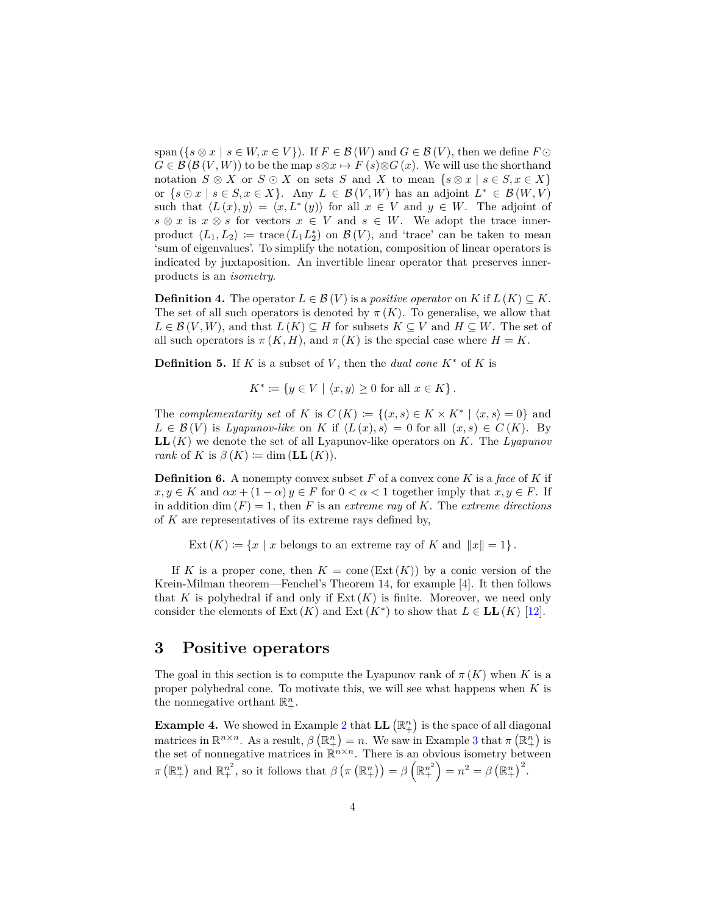span  $({s \otimes x \mid s \in W, x \in V})$ . If  $F \in \mathcal{B}(W)$  and  $G \in \mathcal{B}(V)$ , then we define  $F \odot$  $G \in \mathcal{B}(\mathcal{B}(V, W))$  to be the map  $s \otimes x \mapsto F(s) \otimes G(x)$ . We will use the shorthand notation  $S \otimes X$  or  $S \odot X$  on sets *S* and *X* to mean  $\{s \otimes x \mid s \in S, x \in X\}$ or  $\{s \odot x \mid s \in S, x \in X\}$ . Any  $L \in \mathcal{B}(V, W)$  has an adjoint  $L^* \in \mathcal{B}(W, V)$ such that  $\langle L(x), y \rangle = \langle x, L^*(y) \rangle$  for all  $x \in V$  and  $y \in W$ . The adjoint of  $s \otimes x$  is  $x \otimes s$  for vectors  $x \in V$  and  $s \in W$ . We adopt the trace innerproduct  $\langle L_1, L_2 \rangle := \text{trace}(L_1 L_2^*)$  on  $\mathcal{B}(V)$ , and 'trace' can be taken to mean 'sum of eigenvalues'. To simplify the notation, composition of linear operators is indicated by juxtaposition. An invertible linear operator that preserves innerproducts is an *isometry*.

**Definition 4.** The operator  $L \in \mathcal{B}(V)$  is a *positive operator* on *K* if  $L(K) \subseteq K$ . The set of all such operators is denoted by  $\pi(K)$ . To generalise, we allow that  $L \in \mathcal{B}(V, W)$ , and that  $L(K) \subseteq H$  for subsets  $K \subseteq V$  and  $H \subseteq W$ . The set of all such operators is  $\pi(K, H)$ , and  $\pi(K)$  is the special case where  $H = K$ .

**Definition 5.** If *K* is a subset of *V*, then the *dual cone*  $K^*$  of *K* is

 $K^* := \{ y \in V \mid \langle x, y \rangle \geq 0 \text{ for all } x \in K \}.$ 

The *complementarity set* of *K* is  $C(K) := \{(x, s) \in K \times K^* \mid \langle x, s \rangle = 0\}$  and  $L \in \mathcal{B}(V)$  is *Lyapunov-like* on *K* if  $\langle L(x), s \rangle = 0$  for all  $(x, s) \in C(K)$ . By **LL**(*K*) we denote the set of all Lyapunov-like operators on *K*. The *Lyapunov rank* of *K* is  $\beta(K) := \dim(LL(K))$ .

<span id="page-3-0"></span>**Definition 6.** A nonempty convex subset *F* of a convex cone *K* is a *face* of *K* if  $x, y \in K$  and  $\alpha x + (1 - \alpha) y \in F$  for  $0 < \alpha < 1$  together imply that  $x, y \in F$ . If in addition dim  $(F) = 1$ , then *F* is an *extreme ray* of *K*. The *extreme directions* of *K* are representatives of its extreme rays defined by,

Ext  $(K) := \{x \mid x \text{ belongs to an extreme ray of } K \text{ and } ||x|| = 1\}.$ 

If *K* is a proper cone, then  $K = \text{cone}(\text{Ext}(K))$  by a conic version of the Krein-Milman theorem—Fenchel's Theorem 14, for example [\[4\]](#page-8-4). It then follows that *K* is polyhedral if and only if  $Ext(K)$  is finite. Moreover, we need only consider the elements of Ext  $(K)$  and Ext  $(K^*)$  to show that  $L \in LL(K)$  [\[12\]](#page-9-0).

### **3 Positive operators**

The goal in this section is to compute the Lyapunov rank of  $\pi(K)$  when K is a proper polyhedral cone. To motivate this, we will see what happens when *K* is the nonnegative orthant  $\mathbb{R}^n_+$ .

**Example 4.** We showed in Example [2](#page-1-0) that  $LL(\mathbb{R}^n_+)$  is the space of all diagonal matrices in  $\mathbb{R}^{n \times n}$ . As a result,  $\beta(\mathbb{R}^n_+) = n$ . We saw in Example [3](#page-2-0) that  $\pi(\mathbb{R}^n_+)$  is the set of nonnegative matrices in  $\mathbb{R}^{n \times n}$ . There is an obvious isometry between  $\pi\left(\mathbb{R}^n_+\right)$  and  $\mathbb{R}^{n^2}_+$ , so it follows that  $\beta\left(\pi\left(\mathbb{R}^n_+\right)\right) = \beta\left(\mathbb{R}^{n^2}_+\right) = n^2 = \beta\left(\mathbb{R}^n_+\right)^2$ .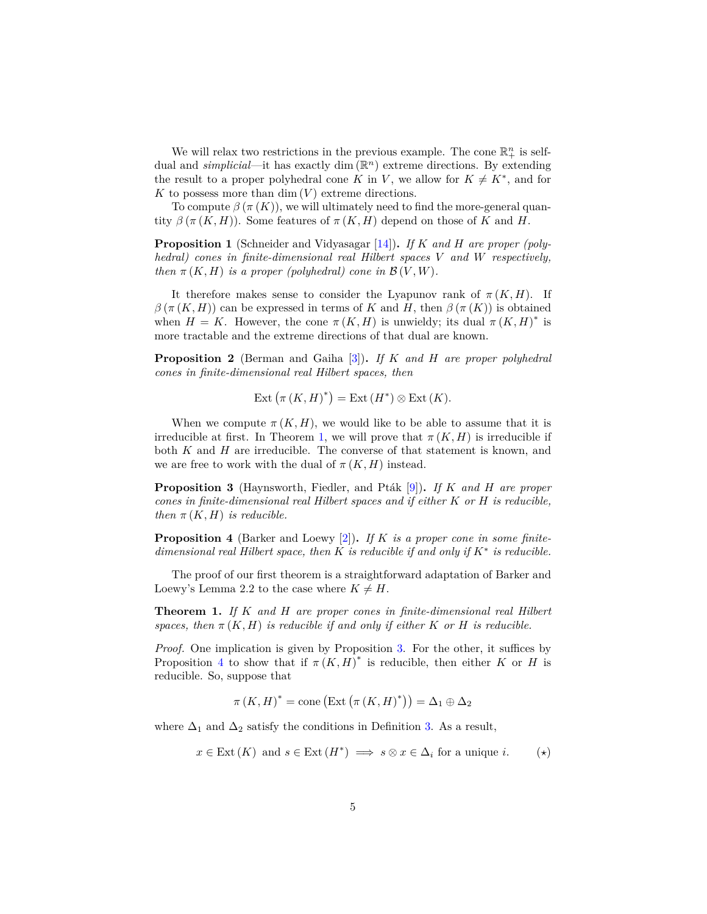We will relax two restrictions in the previous example. The cone  $\mathbb{R}^n_+$  is selfdual and *simplicial*—it has exactly dim (R *<sup>n</sup>*) extreme directions. By extending the result to a proper polyhedral cone *K* in *V*, we allow for  $K \neq K^*$ , and for  $K$  to possess more than dim  $(V)$  extreme directions.

To compute  $\beta(\pi(K))$ , we will ultimately need to find the more-general quantity  $\beta(\pi(K,H))$ . Some features of  $\pi(K,H)$  depend on those of *K* and *H*.

<span id="page-4-5"></span>**Proposition 1** (Schneider and Vidyasagar [\[14\]](#page-9-6))**.** *If K and H are proper (polyhedral) cones in finite-dimensional real Hilbert spaces V and W respectively, then*  $\pi(K, H)$  *is a proper (polyhedral) cone in*  $\mathcal{B}(V, W)$ *.* 

It therefore makes sense to consider the Lyapunov rank of  $\pi(K,H)$ . If  $β(π(K,H))$  can be expressed in terms of *K* and *H*, then  $β(π(K))$  is obtained when  $H = K$ . However, the cone  $\pi(K, H)$  is unwieldy; its dual  $\pi(K, H)^*$  is more tractable and the extreme directions of that dual are known.

<span id="page-4-4"></span>**Proposition 2** (Berman and Gaiha [\[3\]](#page-8-5))**.** *If K and H are proper polyhedral cones in finite-dimensional real Hilbert spaces, then*

$$
Ext\left(\pi\left(K,H\right)^{*}\right) = Ext\left(H^{*}\right) \otimes Ext\left(K\right).
$$

When we compute  $\pi(K, H)$ , we would like to be able to assume that it is irreducible at first. In Theorem [1,](#page-4-0) we will prove that  $\pi(K, H)$  is irreducible if both *K* and *H* are irreducible. The converse of that statement is known, and we are free to work with the dual of  $\pi(K, H)$  instead.

<span id="page-4-1"></span>**Proposition 3** (Haynsworth, Fiedler, and Ptak [\[9\]](#page-9-7)). If *K* and *H* are proper *cones in finite-dimensional real Hilbert spaces and if either K or H is reducible, then*  $\pi(K, H)$  *is reducible.* 

<span id="page-4-2"></span>**Proposition 4** (Barker and Loewy [\[2\]](#page-8-3))**.** *If K is a proper cone in some finitedimensional real Hilbert space, then K is reducible if and only if K*<sup>∗</sup> *is reducible.*

The proof of our first theorem is a straightforward adaptation of Barker and Loewy's Lemma 2.2 to the case where  $K \neq H$ .

<span id="page-4-0"></span>**Theorem 1.** *If K and H are proper cones in finite-dimensional real Hilbert spaces, then*  $\pi$  (*K, H) is reducible if and only if either K or H is reducible.* 

*Proof.* One implication is given by Proposition [3.](#page-4-1) For the other, it suffices by Proposition [4](#page-4-2) to show that if  $\pi(K,H)^*$  is reducible, then either *K* or *H* is reducible. So, suppose that

<span id="page-4-3"></span>
$$
\pi(K, H)^* = \text{cone}\left(\text{Ext}\left(\pi(K, H)^*\right)\right) = \Delta_1 \oplus \Delta_2
$$

where  $\Delta_1$  and  $\Delta_2$  satisfy the conditions in Definition [3.](#page-2-1) As a result,

$$
x \in \text{Ext}(K) \text{ and } s \in \text{Ext}(H^*) \implies s \otimes x \in \Delta_i \text{ for a unique } i. \tag{*}
$$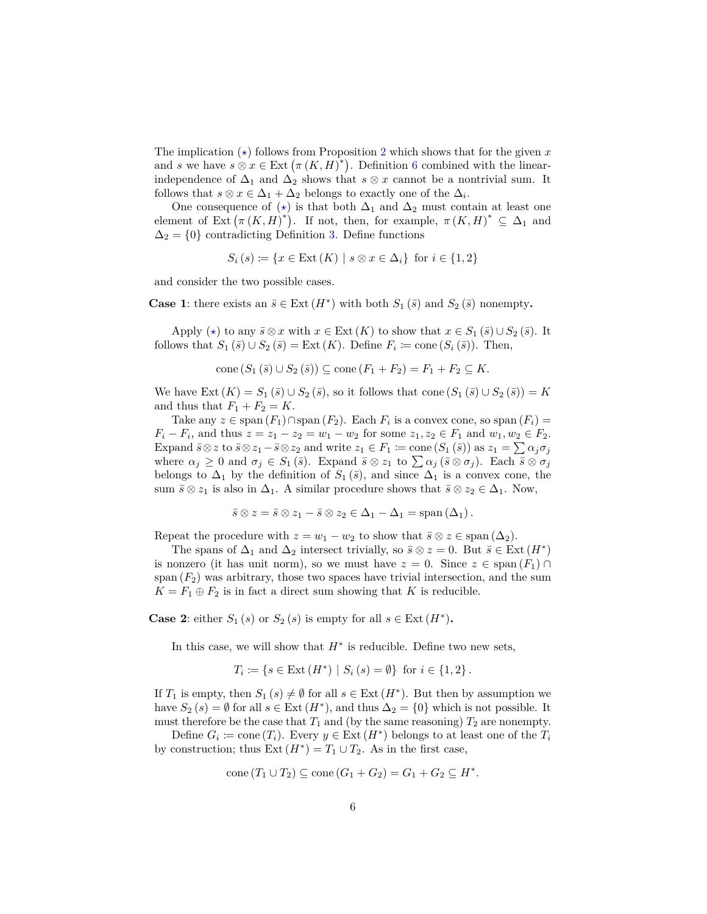The implication  $(\star)$  follows from Proposition [2](#page-4-4) which shows that for the given x and *s* we have  $s \otimes x \in \text{Ext}(\pi(K, H)^*)$ . Definition [6](#page-3-0) combined with the linearindependence of  $\Delta_1$  and  $\Delta_2$  shows that *s*  $\otimes$  *x* cannot be a nontrivial sum. It follows that  $s \otimes x \in \Delta_1 + \Delta_2$  belongs to exactly one of the  $\Delta_i$ .

One consequence of  $(\star)$  is that both  $\Delta_1$  and  $\Delta_2$  must contain at least one element of Ext  $(\pi(K,H)^*)$ . If not, then, for example,  $\pi(K,H)^* \subseteq \Delta_1$  and  $\Delta_2 = \{0\}$  contradicting Definition [3.](#page-2-1) Define functions

$$
S_i(s) \coloneqq \{ x \in \text{Ext}(K) \mid s \otimes x \in \Delta_i \} \text{ for } i \in \{1, 2\}
$$

and consider the two possible cases.

**Case 1**: there exists an  $\bar{s} \in \text{Ext}(H^*)$  with both  $S_1(\bar{s})$  and  $S_2(\bar{s})$  nonempty.

Apply  $(\star)$  to any  $\bar{s} \otimes x$  with  $x \in \text{Ext}(K)$  to show that  $x \in S_1(\bar{s}) \cup S_2(\bar{s})$ . It follows that  $S_1(\overline{s}) \cup S_2(\overline{s}) = \text{Ext}(K)$ . Define  $F_i \coloneqq \text{cone}(S_i(\overline{s}))$ . Then,

cone 
$$
(S_1(\bar{s}) \cup S_2(\bar{s})) \subseteq \text{cone}(F_1 + F_2) = F_1 + F_2 \subseteq K
$$
.

We have Ext  $(K) = S_1(\bar{s}) \cup S_2(\bar{s})$ , so it follows that cone  $(S_1(\bar{s}) \cup S_2(\bar{s})) = K$ and thus that  $F_1 + F_2 = K$ .

Take any *z* ∈ span  $(F_1) \cap \text{span}(F_2)$ . Each  $F_i$  is a convex cone, so span  $(F_i)$  = *F*<sup>i</sup> − *F*<sup>i</sup>, and thus  $z = z_1 - z_2 = w_1 - w_2$  for some  $z_1, z_2 \in F_1$  and  $w_1, w_2 \in F_2$ . Expand  $\bar{s} \otimes z$  to  $\bar{s} \otimes z_1 - \bar{s} \otimes z_2$  and write  $z_1 \in F_1 \coloneqq \text{cone}(S_1(\bar{s}))$  as  $z_1 = \sum \alpha_j \sigma_j$ where  $\alpha_j \geq 0$  and  $\sigma_j \in S_1(\bar{s})$ . Expand  $\bar{s} \otimes z_1$  to  $\sum \alpha_j (\bar{s} \otimes \sigma_j)$ . Each  $\bar{s} \otimes \sigma_j$ belongs to  $\Delta_1$  by the definition of  $S_1(\bar{s})$ , and since  $\Delta_1$  is a convex cone, the sum  $\bar{s} \otimes z_1$  is also in  $\Delta_1$ . A similar procedure shows that  $\bar{s} \otimes z_2 \in \Delta_1$ . Now,

$$
\bar{s} \otimes z = \bar{s} \otimes z_1 - \bar{s} \otimes z_2 \in \Delta_1 - \Delta_1 = \mathrm{span}(\Delta_1).
$$

Repeat the procedure with  $z = w_1 - w_2$  to show that  $\bar{s} \otimes z \in \text{span}(\Delta_2)$ .

The spans of  $\Delta_1$  and  $\Delta_2$  intersect trivially, so  $\bar{s} \otimes z = 0$ . But  $\bar{s} \in \text{Ext}(H^*)$ is nonzero (it has unit norm), so we must have  $z = 0$ . Since  $z \in \text{span}(F_1) \cap$ span  $(F_2)$  was arbitrary, those two spaces have trivial intersection, and the sum  $K = F_1 \oplus F_2$  is in fact a direct sum showing that *K* is reducible.

**Case 2**: either  $S_1(s)$  or  $S_2(s)$  is empty for all  $s \in \text{Ext}(H^*)$ .

In this case, we will show that  $H^*$  is reducible. Define two new sets,

$$
T_i := \{ s \in \text{Ext} (H^*) \mid S_i (s) = \emptyset \} \text{ for } i \in \{1, 2\}.
$$

If  $T_1$  is empty, then  $S_1(s) \neq \emptyset$  for all  $s \in \text{Ext}(H^*)$ . But then by assumption we have  $S_2(s) = \emptyset$  for all  $s \in \text{Ext}(H^*)$ , and thus  $\Delta_2 = \{0\}$  which is not possible. It must therefore be the case that  $T_1$  and (by the same reasoning)  $T_2$  are nonempty.

Define  $G_i := \text{cone}(T_i)$ . Every  $y \in \text{Ext}(H^*)$  belongs to at least one of the  $T_i$ by construction; thus  $Ext(H^*) = T_1 \cup T_2$ . As in the first case,

$$
cone(T_1 \cup T_2) \subseteq cone(G_1 + G_2) = G_1 + G_2 \subseteq H^*.
$$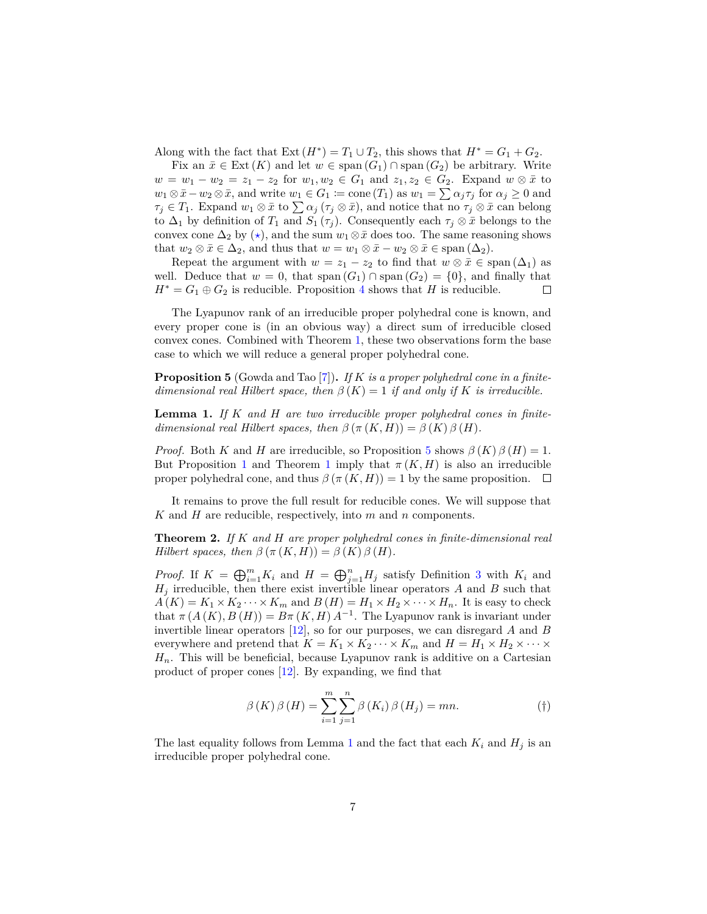Along with the fact that  $Ext(H^*) = T_1 \cup T_2$ , this shows that  $H^* = G_1 + G_2$ .

Fix an  $\bar{x} \in \text{Ext}(K)$  and let  $w \in \text{span}(G_1) \cap \text{span}(G_2)$  be arbitrary. Write  $w = w_1 - w_2 = z_1 - z_2$  for  $w_1, w_2 \in G_1$  and  $z_1, z_2 \in G_2$ . Expand  $w \otimes \bar{x}$  to  $w_1 \otimes \bar{x} - w_2 \otimes \bar{x}$ , and write  $w_1 \in G_1 \coloneqq \text{cone}(T_1)$  as  $w_1 = \sum \alpha_j \tau_j$  for  $\alpha_j \geq 0$  and  $\tau_j \in T_1$ . Expand  $w_1 \otimes \bar{x}$  to  $\sum \alpha_j (\tau_j \otimes \bar{x})$ , and notice that no  $\tau_j \otimes \bar{x}$  can belong to  $\Delta_1$  by definition of  $T_1$  and  $S_1(\tau_i)$ . Consequently each  $\tau_i \otimes \bar{x}$  belongs to the convex cone  $\Delta_2$  by  $(\star)$ , and the sum  $w_1 \otimes \bar{x}$  does too. The same reasoning shows that  $w_2 \otimes \bar{x} \in \Delta_2$ , and thus that  $w = w_1 \otimes \bar{x} - w_2 \otimes \bar{x} \in \text{span}(\Delta_2)$ .

Repeat the argument with  $w = z_1 - z_2$  to find that  $w \otimes \bar{x} \in \text{span}(\Delta_1)$  as well. Deduce that  $w = 0$ , that span  $(G_1) \cap \text{span}(G_2) = \{0\}$ , and finally that  $H^* = G_1 \oplus G_2$  is reducible. Proposition [4](#page-4-2) shows that *H* is reducible.  $\Box$ 

The Lyapunov rank of an irreducible proper polyhedral cone is known, and every proper cone is (in an obvious way) a direct sum of irreducible closed convex cones. Combined with Theorem [1,](#page-4-0) these two observations form the base case to which we will reduce a general proper polyhedral cone.

<span id="page-6-0"></span>**Proposition 5** (Gowda and Tao [\[7\]](#page-9-1))**.** *If K is a proper polyhedral cone in a finitedimensional real Hilbert space, then*  $\beta(K) = 1$  *if and only if K is irreducible.* 

<span id="page-6-1"></span>**Lemma 1.** *If K and H are two irreducible proper polyhedral cones in finitedimensional real Hilbert spaces, then*  $\beta (\pi (K, H)) = \beta (K) \beta (H)$ *.* 

*Proof.* Both *K* and *H* are irreducible, so Proposition [5](#page-6-0) shows  $\beta(K)\beta(H) = 1$ . But Proposition [1](#page-4-0) and Theorem 1 imply that  $\pi(K, H)$  is also an irreducible proper polyhedral cone, and thus  $\beta(\pi(K,H)) = 1$  by the same proposition.  $\square$ 

It remains to prove the full result for reducible cones. We will suppose that *K* and *H* are reducible, respectively, into *m* and *n* components.

<span id="page-6-3"></span>**Theorem 2.** *If K and H are proper polyhedral cones in finite-dimensional real Hilbert spaces, then*  $\beta (\pi (K, H)) = \beta (K) \beta (H)$ *.* 

*Proof.* If  $K = \bigoplus_{i=1}^{m} K_i$  and  $H = \bigoplus_{j=1}^{n} H_j$  satisfy Definition [3](#page-2-1) with  $K_i$  and *H<sup>j</sup>* irreducible, then there exist invertible linear operators *A* and *B* such that  $A(K) = K_1 \times K_2 \cdots \times K_m$  and  $B(H) = H_1 \times H_2 \times \cdots \times H_n$ . It is easy to check that  $\pi(A(K), B(H)) = B\pi(K, H) A^{-1}$ . The Lyapunov rank is invariant under invertible linear operators [\[12\]](#page-9-0), so for our purposes, we can disregard *A* and *B* everywhere and pretend that  $K = K_1 \times K_2 \cdots \times K_m$  and  $H = H_1 \times H_2 \times \cdots \times$ *Hn*. This will be beneficial, because Lyapunov rank is additive on a Cartesian product of proper cones [\[12\]](#page-9-0). By expanding, we find that

<span id="page-6-2"></span>
$$
\beta(K)\beta(H) = \sum_{i=1}^{m} \sum_{j=1}^{n} \beta(K_i)\beta(H_j) = mn.
$$
 (†)

The last equality follows from Lemma [1](#page-6-1) and the fact that each  $K_i$  and  $H_j$  is an irreducible proper polyhedral cone.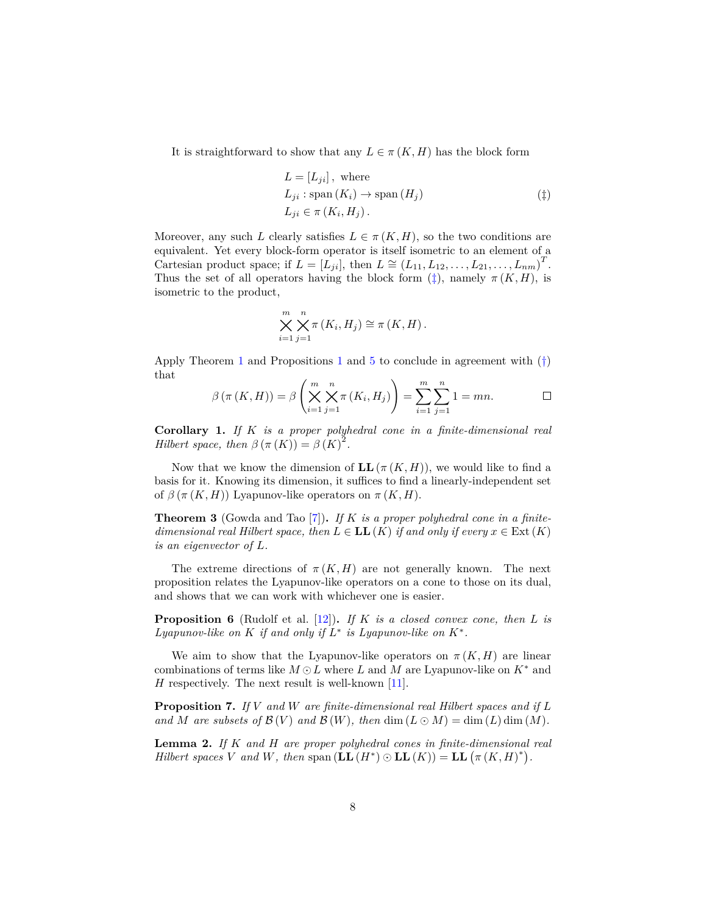It is straightforward to show that any  $L \in \pi(K, H)$  has the block form

<span id="page-7-0"></span>
$$
L = [L_{ji}], \text{ where}
$$
  
\n
$$
L_{ji} : \text{span}(K_i) \to \text{span}(H_j)
$$
  
\n
$$
L_{ji} \in \pi(K_i, H_j).
$$
 (1)

Moreover, any such *L* clearly satisfies  $L \in \pi(K, H)$ , so the two conditions are equivalent. Yet every block-form operator is itself isometric to an element of a Cartesian product space; if  $L = [\tilde{L}_{ji}]$ , then  $L \cong (L_{11}, L_{12}, \ldots, L_{21}, \ldots, L_{nm})^T$ . Thus the set of all operators having the block form  $(\ddagger)$ , namely  $\pi(K, H)$ , is isometric to the product,

$$
\bigtimes_{i=1}^{m} \bigtimes_{j=1}^{n} \pi(K_i, H_j) \cong \pi(K, H).
$$

Apply Theorem [1](#page-4-5) and Propositions 1 and [5](#page-6-0) to conclude in agreement with  $(\dagger)$ that

$$
\beta\left(\pi\left(K,H\right)\right) = \beta\left(\bigtimes_{i=1}^{m} \bigtimes_{j=1}^{n} \pi\left(K_i,H_j\right)\right) = \sum_{i=1}^{m} \sum_{j=1}^{n} 1 = mn. \qquad \Box
$$

**Corollary 1.** *If K is a proper polyhedral cone in a finite-dimensional real Hilbert space, then*  $\beta (\pi (K)) = \beta (K)^2$ .

Now that we know the dimension of  $LL(\pi(K,H))$ , we would like to find a basis for it. Knowing its dimension, it suffices to find a linearly-independent set of  $\beta(\pi(K,H))$  Lyapunov-like operators on  $\pi(K,H)$ .

<span id="page-7-1"></span>**Theorem 3** (Gowda and Tao [\[7\]](#page-9-1))**.** *If K is a proper polyhedral cone in a finitedimensional real Hilbert space, then*  $L \in LL(K)$  *if and only if every*  $x \in Ext(K)$ *is an eigenvector of L.*

The extreme directions of  $\pi(K, H)$  are not generally known. The next proposition relates the Lyapunov-like operators on a cone to those on its dual, and shows that we can work with whichever one is easier.

<span id="page-7-3"></span>**Proposition 6** (Rudolf et al. [\[12\]](#page-9-0))**.** *If K is a closed convex cone, then L is* Lyapunov-like on  $K$  if and only if  $L^*$  is Lyapunov-like on  $K^*$ .

We aim to show that the Lyapunov-like operators on  $\pi(K, H)$  are linear combinations of terms like  $M \odot L$  where  $L$  and  $M$  are Lyapunov-like on  $K^*$  and *H* respectively. The next result is well-known  $[11]$ .

<span id="page-7-2"></span>**Proposition 7.** *If V and W are finite-dimensional real Hilbert spaces and if L* and M are subsets of  $\mathcal{B}(V)$  and  $\mathcal{B}(W)$ , then  $\dim(L \odot M) = \dim(L) \dim(M)$ .

<span id="page-7-4"></span>**Lemma 2.** *If K and H are proper polyhedral cones in finite-dimensional real Hilbert spaces V* and *W*, then span  $(\mathbf{LL}(H^*) \odot \mathbf{LL}(K)) = \mathbf{LL} (\pi (K, H)^*)$ .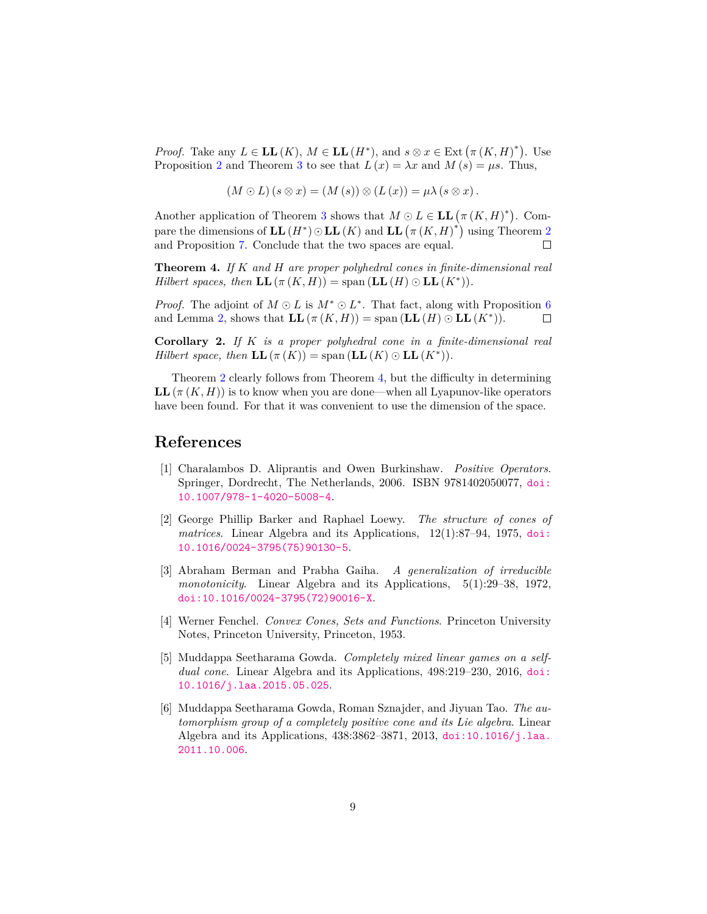*Proof.* Take any  $L \in LL(K)$ ,  $M \in LL(H^*)$ , and  $s \otimes x \in \text{Ext}(\pi(K, H)^*)$ . Use Proposition [2](#page-4-4) and Theorem [3](#page-7-1) to see that  $L(x) = \lambda x$  and  $M(s) = \mu s$ . Thus,

$$
(M \odot L)(s \otimes x) = (M(s)) \otimes (L(x)) = \mu \lambda (s \otimes x).
$$

Another application of Theorem [3](#page-7-1) shows that  $M \odot L \in \mathbf{LL} (\pi (K, H)^*)$ . Compare the dimensions of  $LL(H^*)\odot LL(K)$  and  $LL(\pi(K,H)^*)$  using Theorem [2](#page-6-3) and Proposition [7.](#page-7-2) Conclude that the two spaces are equal.  $\Box$ 

<span id="page-8-6"></span>**Theorem 4.** *If K and H are proper polyhedral cones in finite-dimensional real Hilbert spaces, then*  $LL(\pi(K, H)) =$  span  $(LL(H) \odot LL(K^*))$ *.* 

*Proof.* The adjoint of  $M \odot L$  is  $M^* \odot L^*$ . That fact, along with Proposition [6](#page-7-3) and Lemma [2,](#page-7-4) shows that  $LL(\pi(K, H)) = \text{span}(LL(H) \odot LL(K^*)).$  $\Box$ 

**Corollary 2.** *If K is a proper polyhedral cone in a finite-dimensional real Hilbert space, then*  $LL(\pi(K)) = \text{span}(LL(K) \odot LL(K^*)).$ 

Theorem [2](#page-6-3) clearly follows from Theorem [4,](#page-8-6) but the difficulty in determining **LL**( $\pi$ (*K, H*)) is to know when you are done—when all Lyapunov-like operators have been found. For that it was convenient to use the dimension of the space.

### **References**

- <span id="page-8-1"></span>[1] Charalambos D. Aliprantis and Owen Burkinshaw. *Positive Operators*. Springer, Dordrecht, The Netherlands, 2006. ISBN 9781402050077, [doi:](http://dx.doi.org/10.1007/978-1-4020-5008-4) [10.1007/978-1-4020-5008-4](http://dx.doi.org/10.1007/978-1-4020-5008-4).
- <span id="page-8-3"></span>[2] George Phillip Barker and Raphael Loewy. *The structure of cones of matrices*. Linear Algebra and its Applications, 12(1):87–94, 1975, [doi:](http://dx.doi.org/10.1016/0024-3795(75)90130-5) [10.1016/0024-3795\(75\)90130-5](http://dx.doi.org/10.1016/0024-3795(75)90130-5).
- <span id="page-8-5"></span>[3] Abraham Berman and Prabha Gaiha. *A generalization of irreducible monotonicity*. Linear Algebra and its Applications, 5(1):29–38, 1972, [doi:10.1016/0024-3795\(72\)90016-X](http://dx.doi.org/10.1016/0024-3795(72)90016-X).
- <span id="page-8-4"></span>[4] Werner Fenchel. *Convex Cones, Sets and Functions*. Princeton University Notes, Princeton University, Princeton, 1953.
- <span id="page-8-2"></span>[5] Muddappa Seetharama Gowda. *Completely mixed linear games on a selfdual cone*. Linear Algebra and its Applications, 498:219–230, 2016, [doi:](http://dx.doi.org/10.1016/j.laa.2015.05.025) [10.1016/j.laa.2015.05.025](http://dx.doi.org/10.1016/j.laa.2015.05.025).
- <span id="page-8-0"></span>[6] Muddappa Seetharama Gowda, Roman Sznajder, and Jiyuan Tao. *The automorphism group of a completely positive cone and its Lie algebra*. Linear Algebra and its Applications, 438:3862–3871, 2013, [doi:10.1016/j.laa.](http://dx.doi.org/10.1016/j.laa.2011.10.006) [2011.10.006](http://dx.doi.org/10.1016/j.laa.2011.10.006).